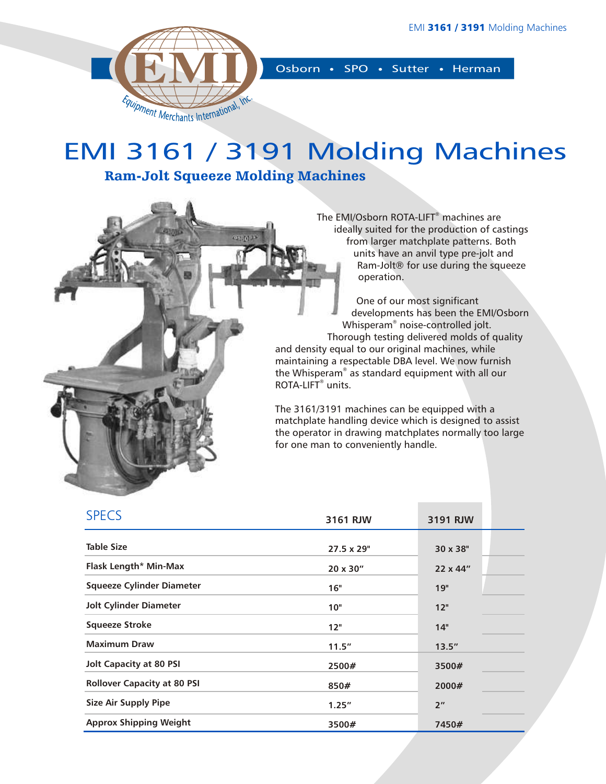

Osborn • SPO • Sutter • Herman

## EMI 3161 / 3191 Molding Machines

ROTA-LIFT<sup>®</sup> units.

Ram-Jolt Squeeze Molding Machines

oskat

The EMI/Osborn ROTA-LIFT<sup>®</sup> machines are ideally suited for the production of castings from larger matchplate patterns. Both units have an anvil type pre-jolt and Ram-Jolt® for use during the squeeze operation.

One of our most significant developments has been the EMI/Osborn Whisperam<sup>®</sup> noise-controlled jolt. Thorough testing delivered molds of quality and density equal to our original machines, while maintaining a respectable DBA level. We now furnish the Whisperam® as standard equipment with all our

The 3161/3191 machines can be equipped with a matchplate handling device which is designed to assist the operator in drawing matchplates normally too large for one man to conveniently handle.

| <b>SPECS</b>                       | 3161 RJW         | 3191 RJW        |  |
|------------------------------------|------------------|-----------------|--|
| <b>Table Size</b>                  | 27.5 x 29"       | 30 x 38"        |  |
| Flask Length* Min-Max              | $20 \times 30''$ | 22 x 44"        |  |
| <b>Squeeze Cylinder Diameter</b>   | 16"              | 19"             |  |
| <b>Jolt Cylinder Diameter</b>      | 10"              | 12"             |  |
| Squeeze Stroke                     | 12"              | 14"             |  |
| <b>Maximum Draw</b>                | 11.5"            | 13.5''          |  |
| <b>Jolt Capacity at 80 PSI</b>     | 2500#            | 3500#           |  |
| <b>Rollover Capacity at 80 PSI</b> | 850#             | 2000#           |  |
| <b>Size Air Supply Pipe</b>        | 1.25''           | 2 <sup>''</sup> |  |
| <b>Approx Shipping Weight</b>      | 3500#            | 7450#           |  |